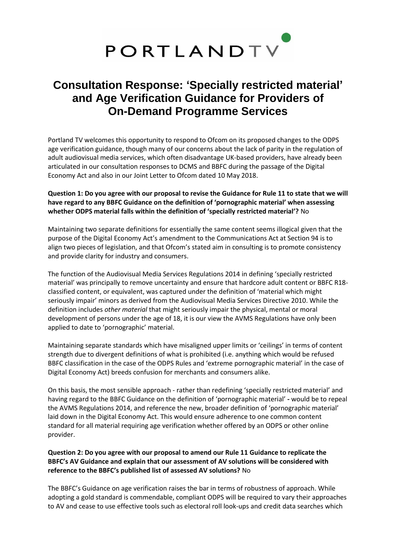

# **Consultation Response: 'Specially restricted material' and Age Verification Guidance for Providers of On-Demand Programme Services**

Portland TV welcomes this opportunity to respond to Ofcom on its proposed changes to the ODPS age verification guidance, though many of our concerns about the lack of parity in the regulation of adult audiovisual media services, which often disadvantage UK-based providers, have already been articulated in our consultation responses to DCMS and BBFC during the passage of the Digital Economy Act and also in our Joint Letter to Ofcom dated 10 May 2018.

#### **Question 1: Do you agree with our proposal to revise the Guidance for Rule 11 to state that we will have regard to any BBFC Guidance on the definition of 'pornographic material' when assessing whether ODPS material falls within the definition of 'specially restricted material'?** No

Maintaining two separate definitions for essentially the same content seems illogical given that the purpose of the Digital Economy Act's amendment to the Communications Act at Section 94 is to align two pieces of legislation, and that Ofcom's stated aim in consulting is to promote consistency and provide clarity for industry and consumers.

The function of the Audiovisual Media Services Regulations 2014 in defining 'specially restricted material' was principally to remove uncertainty and ensure that hardcore adult content or BBFC R18 classified content, or equivalent, was captured under the definition of 'material which might seriously impair' minors as derived from the Audiovisual Media Services Directive 2010. While the definition includes *other material* that might seriously impair the physical, mental or moral development of persons under the age of 18, it is our view the AVMS Regulations have only been applied to date to 'pornographic' material.

Maintaining separate standards which have misaligned upper limits or 'ceilings' in terms of content strength due to divergent definitions of what is prohibited (i.e. anything which would be refused BBFC classification in the case of the ODPS Rules and 'extreme pornographic material' in the case of Digital Economy Act) breeds confusion for merchants and consumers alike.

On this basis, the most sensible approach - rather than redefining 'specially restricted material' and having regard to the BBFC Guidance on the definition of 'pornographic material' **-** would be to repeal the AVMS Regulations 2014, and reference the new, broader definition of 'pornographic material' laid down in the Digital Economy Act. This would ensure adherence to one common content standard for all material requiring age verification whether offered by an ODPS or other online provider.

### **Question 2: Do you agree with our proposal to amend our Rule 11 Guidance to replicate the BBFC's AV Guidance and explain that our assessment of AV solutions will be considered with reference to the BBFC's published list of assessed AV solutions?** No

The BBFC's Guidance on age verification raises the bar in terms of robustness of approach. While adopting a gold standard is commendable, compliant ODPS will be required to vary their approaches to AV and cease to use effective tools such as electoral roll look-ups and credit data searches which